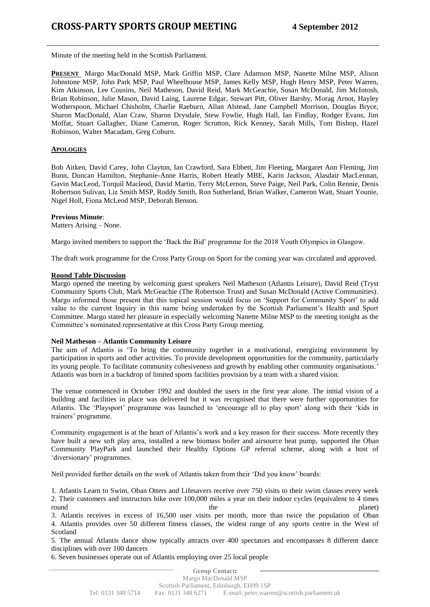Minute of the meeting held in the Scottish Parliament.

**PRESENT** Margo MacDonald MSP, Mark Griffin MSP, Clare Adamson MSP, Nanette Milne MSP, Alison Johnstone MSP, John Park MSP, Paul Wheelhouse MSP, James Kelly MSP, Hugh Henry MSP, Peter Warren, Kim Atkinson, Lee Cousins, Neil Matheson, David Reid, Mark McGeachie, Susan McDonald, Jim McIntosh, Brian Robinson, Julie Mason, David Laing, Laurene Edgar, Stewart Pitt, Oliver Barsby, Morag Arnot, Hayley Wotherspoon, Michael Chisholm, Charlie Raeburn, Allan Alstead, Jane Campbell Morrison, Douglas Bryce, Sharon MacDonald, Alan Craw, Sharon Drysdale, Stew Fowlie, Hugh Hall, Ian Findlay, Rodger Evans, Jim Moffat, Stuart Gallagher, Diane Cameron, Roger Scrutton, Rick Kenney, Sarah Mills, Tom Bishop, Hazel Robinson, Walter Macadam, Greg Coburn.

### **APOLOGIES**

Bob Aitken, David Carey, John Clayton, Ian Crawford, Sara Ebbett, Jim Fleeting, Margaret Ann Fleming, Jim Bunn, Duncan Hamilton, Stephanie-Anne Harris, Robert Heatly MBE, Karin Jackson, Alasdair MacLennan, Gavin MacLeod, Torquil Macleod, David Martin, Terry McLernon, Steve Paige, Neil Park, Colin Rennie, Denis Robertson Sulivan, Liz Smith MSP, Roddy Smith, Ron Sutherland, Brian Walker, Cameron Watt, Stuart Younie, Nigel Holl, Fiona McLeod MSP, Deborah Benson.

#### **Previous Minute**:

Matters Arising – None.

Margo invited members to support the "Back the Bid" programme for the 2018 Youth Olympics in Glasgow.

The draft work programme for the Cross Party Group on Sport for the coming year was circulated and approved.

### **Round Table Discussion**

Margo opened the meeting by welcoming guest speakers Neil Matheson (Atlantis Leisure), David Reid (Tryst Community Sports Club, Mark McGeachie (The Robertson Trust) and Susan McDonald (Active Communities). Margo informed those present that this topical session would focus on "Support for Community Sport" to add value to the current Inquiry in this name being undertaken by the Scottish Parliament"s Health and Sport Committee. Margo stated her pleasure in especially welcoming Nanette Milne MSP to the meeting tonight as the Committee"s nominated representative at this Cross Party Group meeting.

#### **Neil Matheson – Atlantis Community Leisure**

The aim of Atlantis is "To bring the community together in a motivational, energizing environment by participation in sports and other activities. To provide development opportunities for the community, particularly its young people. To facilitate community cohesiveness and growth by enabling other community organisations." Atlantis was born in a backdrop of limited sports facilities provision by a team with a shared vision.

The venue commenced in October 1992 and doubled the users in the first year alone. The initial vision of a building and facilities in place was delivered but it was recognised that there were further opportunities for Atlantis. The "Playsport" programme was launched to "encourage all to play sport" along with their "kids in trainers" programme.

Community engagement is at the heart of Atlantis"s work and a key reason for their success. More recently they have built a new soft play area, installed a new biomass boiler and airsource heat pump, supported the Oban Community PlayPark and launched their Healthy Options GP referral scheme, along with a host of 'diversionary' programmes.

Neil provided further details on the work of Atlantis taken from their "Did you know" boards:

1. Atlantis Learn to Swim, Oban Otters and Lifesavers receive over 750 visits to their swim classes every week 2. Their customers and instructors bike over 100,000 miles a year on their indoor cycles (equivalent to 4 times round the planet)

3. Atlantis receives in excess of 16,500 user visits per month, more than twice the population of Oban 4. Atlantis provides over 50 different fitness classes, the widest range of any sports centre in the West of Scotland

5. The annual Atlantis dance show typically attracts over 400 spectators and encompasses 8 different dance disciplines with over 100 dancers

6. Seven businesses operate out of Atlantis employing over 25 local people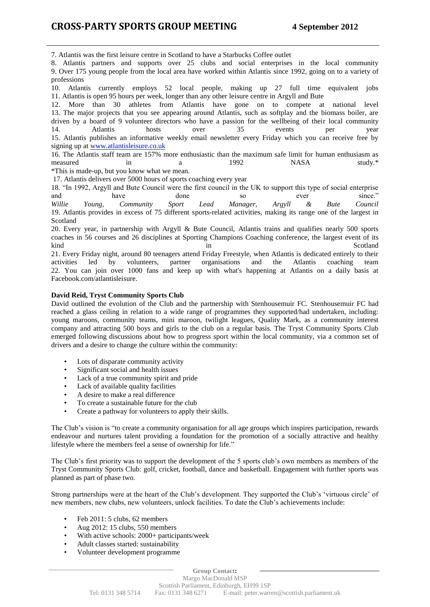7. Atlantis was the first leisure centre in Scotland to have a Starbucks Coffee outlet

8. Atlantis partners and supports over 25 clubs and social enterprises in the local community 9. Over 175 young people from the local area have worked within Atlantis since 1992, going on to a variety of professions

10. Atlantis currently employs 52 local people, making up 27 full time equivalent jobs 11. Atlantis is open 95 hours per week, longer than any other leisure centre in Argyll and Bute

12. More than 30 athletes from Atlantis have gone on to compete at national level 13. The major projects that you see appearing around Atlantis, such as softplay and the biomass boiler, are driven by a board of 9 volunteer directors who have a passion for the wellbeing of their local community 14. Atlantis hosts over 35 events per year 15. Atlantis publishes an informative weekly email newsletter every Friday which you can receive free by signing up at [www.atlantisleisure.co.uk](http://www.atlantisleisure.co.uk/)

16. The Atlantis staff team are 157% more enthusiastic than the maximum safe limit for human enthusiasm as measured in a 1992 NASA study.\*

\*This is made-up, but you know what we mean.

17. Atlantis delivers over 5000 hours of sports coaching every year

18. "In 1992, Argyll and Bute Council were the first council in the UK to support this type of social enterprise and have done so ever since." *Willie Young, Community Sport Lead Manager, Argyll & Bute Council* 19. Atlantis provides in excess of 75 different sports-related activities, making its range one of the largest in Scotland

20. Every year, in partnership with Argyll & Bute Council, Atlantis trains and qualifies nearly 500 sports coaches in 56 courses and 26 disciplines at Sporting Champions Coaching conference, the largest event of its kind Scotland in Scotland in Scotland in Scotland Scotland in Scotland in Scotland in Scotland in Scotland in Scotland in Scotland in Scotland in Scotland in Scotland in Scotland in Scotland in Scotland in Scotland in Scot 21. Every Friday night, around 80 teenagers attend Friday Freestyle, when Atlantis is dedicated entirely to their activities led by volunteers, partner organisations and the Atlantis coaching team 22. You can join over 1000 fans and keep up with what's happening at Atlantis on a daily basis at Facebook.com/atlantisleisure.

## **David Reid, Tryst Community Sports Club**

David outlined the evolution of the Club and the partnership with Stenhousemuir FC. Stenhousemuir FC had reached a glass ceiling in relation to a wide range of programmes they supported/had undertaken, including: young maroons, community teams, mini maroon, twilight leagues, Quality Mark, as a community interest company and attracting 500 boys and girls to the club on a regular basis. The Tryst Community Sports Club emerged following discussions about how to progress sport within the local community, via a common set of drivers and a desire to change the culture within the community:

- Lots of disparate community activity
- Significant social and health issues
- Lack of a true community spirit and pride
- Lack of available quality facilities
- A desire to make a real difference
- To create a sustainable future for the club
- Create a pathway for volunteers to apply their skills.

The Club's vision is "to create a community organisation for all age groups which inspires participation, rewards endeavour and nurtures talent providing a foundation for the promotion of a socially attractive and healthy lifestyle where the members feel a sense of ownership for life."

The Club"s first priority was to support the development of the 5 sports club"s own members as members of the Tryst Community Sports Club: golf, cricket, football, dance and basketball. Engagement with further sports was planned as part of phase two.

Strong partnerships were at the heart of the Club's development. They supported the Club's 'virtuous circle' of new members, new clubs, new volunteers, unlock facilities. To date the Club"s achievements include:

- Feb 2011: 5 clubs, 62 members
- Aug 2012: 15 clubs, 550 members
- With active schools: 2000+ participants/week
- Adult classes started: sustainability
- Volunteer development programme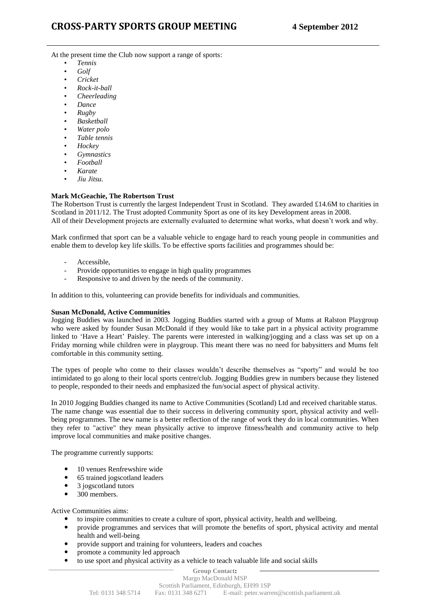At the present time the Club now support a range of sports:

- *Tennis*
- *Golf*
- *Cricket*
- *Rock-it-ball*
- *Cheerleading*
- *Dance*
- *Rugby*
- *Basketball*
- *Water polo* • *Table tennis*
- 
- *Hockey*
- *Gymnastics*
- *Football*
- *Karate*
- *Jiu Jitsu.*

## **Mark McGeachie, The Robertson Trust**

The Robertson Trust is currently the largest Independent Trust in Scotland. They awarded £14.6M to charities in Scotland in 2011/12. The Trust adopted Community Sport as one of its key Development areas in 2008. All of their Development projects are externally evaluated to determine what works, what doesn't work and why.

Mark confirmed that sport can be a valuable vehicle to engage hard to reach young people in communities and enable them to develop key life skills. To be effective sports facilities and programmes should be:

- Accessible,
- Provide opportunities to engage in high quality programmes
- Responsive to and driven by the needs of the community.

In addition to this, volunteering can provide benefits for individuals and communities.

### **Susan McDonald, Active Communities**

Jogging Buddies was launched in 2003. Jogging Buddies started with a group of Mums at Ralston Playgroup who were asked by founder Susan McDonald if they would like to take part in a physical activity programme linked to "Have a Heart" Paisley. The parents were interested in walking/jogging and a class was set up on a Friday morning while children were in playgroup. This meant there was no need for babysitters and Mums felt comfortable in this community setting.

The types of people who come to their classes wouldn"t describe themselves as "sporty" and would be too intimidated to go along to their local sports centre/club. Jogging Buddies grew in numbers because they listened to people, responded to their needs and emphasized the fun/social aspect of physical activity.

In 2010 Jogging Buddies changed its name to Active Communities (Scotland) Ltd and received charitable status. The name change was essential due to their success in delivering community sport, physical activity and wellbeing programmes. The new name is a better reflection of the range of work they do in local communities. When they refer to "active" they mean physically active to improve fitness/health and community active to help improve local communities and make positive changes.

The programme currently supports:

- 10 venues Renfrewshire wide
- 65 trained jogscotland leaders
- 3 jogscotland tutors
- 300 members.

Active Communities aims:

- to inspire communities to create a culture of sport, physical activity, health and wellbeing.
- provide programmes and services that will promote the benefits of sport, physical activity and mental health and well-being
- provide support and training for volunteers, leaders and coaches
- promote a community led approach
- to use sport and physical activity as a vehicle to teach valuable life and social skills

#### **Group Contact:** Margo MacDonald MSP Scottish Parliament, Edinburgh, EH99 1SP Tel: 0131 348 5714 Fax: 0131 348 6271 E-mail: peter.warren@scottish.parliament.uk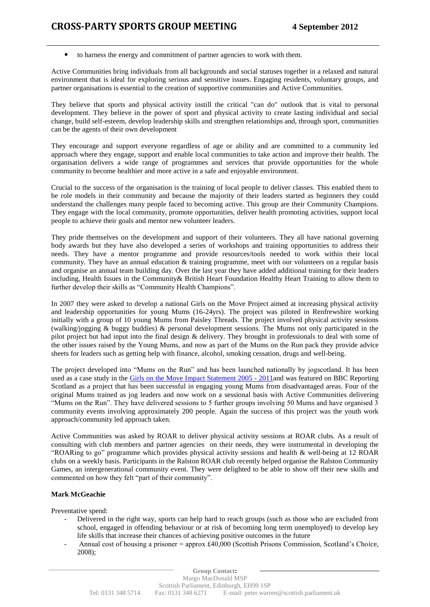to harness the energy and commitment of partner agencies to work with them.

Active Communities bring individuals from all backgrounds and social statuses together in a relaxed and natural environment that is ideal for exploring serious and sensitive issues. Engaging residents, voluntary groups, and partner organisations is essential to the creation of supportive communities and Active Communities.

They believe that sports and physical activity instill the critical "can do" outlook that is vital to personal development. They believe in the power of sport and physical activity to create lasting individual and social change, build self-esteem, develop leadership skills and strengthen relationships and, through sport, communities can be the agents of their own development

They encourage and support everyone regardless of age or ability and are committed to a community led approach where they engage, support and enable local communities to take action and improve their health. The organisation delivers a wide range of programmes and services that provide opportunities for the whole community to become healthier and more active in a safe and enjoyable environment.

Crucial to the success of the organisation is the training of local people to deliver classes. This enabled them to be role models in their community and because the majority of their leaders started as beginners they could understand the challenges many people faced to becoming active. This group are their Community Champions. They engage with the local community, promote opportunities, deliver health promoting activities, support local people to achieve their goals and mentor new volunteer leaders.

They pride themselves on the development and support of their volunteers. They all have national governing body awards but they have also developed a series of workshops and training opportunities to address their needs. They have a mentor programme and provide resources/tools needed to work within their local community. They have an annual education & training programme, meet with our volunteers on a regular basis and organise an annual team building day. Over the last year they have added additional training for their leaders including, Health Issues in the Community& British Heart Foundation Healthy Heart Training to allow them to further develop their skills as "Community Health Champions".

In 2007 they were asked to develop a national Girls on the Move Project aimed at increasing physical activity and leadership opportunities for young Mums (16-24yrs). The project was piloted in Renfrewshire working initially with a group of 10 young Mums from Paisley Threads. The project involved physical activity sessions (walking/jogging & buggy buddies) & personal development sessions. The Mums not only participated in the pilot project but had input into the final design & delivery. They brought in professionals to deal with some of the other issues raised by the Young Mums, and now as part of the Mums on the Run pack they provide advice sheets for leaders such as getting help with finance, alcohol, smoking cessation, drugs and well-being.

The project developed into "Mums on the Run" and has been launched nationally by jogscotland. It has been used as a case study in the [Girls on the Move Impact Statement 2005 -](http://www.youthscotland.org.uk/portalbase/pages/download.aspx?locationId=609fc63b-d958-4b79-ba7e-750903953ac1) 2011and was featured on BBC Reporting Scotland as a project that has been successful in engaging young Mums from disadvantaged areas. Four of the original Mums trained as jog leaders and now work on a sessional basis with Active Communities delivering "Mums on the Run". They have delivered sessions to 5 further groups involving 50 Mums and have organised 3 community events involving approximately 200 people. Again the success of this project was the youth work approach/community led approach taken.

Active Communities was asked by ROAR to deliver physical activity sessions at ROAR clubs. As a result of consulting with club members and partner agencies on their needs, they were instrumental in developing the "ROARing to go" programme which provides physical activity sessions and health & well-being at 12 ROAR clubs on a weekly basis. Participants in the Ralston ROAR club recently helped organise the Ralston Community Games, an intergenerational community event. They were delighted to be able to show off their new skills and commented on how they felt "part of their community".

# **Mark McGeachie**

Preventative spend:

- Delivered in the right way, sports can help hard to reach groups (such as those who are excluded from school, engaged in offending behaviour or at risk of becoming long term unemployed) to develop key life skills that increase their chances of achieving positive outcomes in the future
- Annual cost of housing a prisoner = approx £40,000 (Scottish Prisons Commission, Scotland"s Choice, 2008);